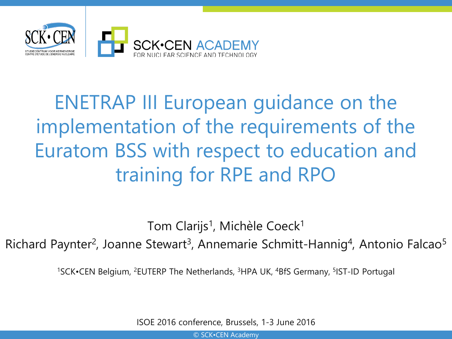

# ENETRAP III European guidance on the implementation of the requirements of the Euratom BSS with respect to education and training for RPE and RPO

Tom Clarijs<sup>1</sup>, Michèle Coeck<sup>1</sup>

Richard Paynter<sup>2</sup>, Joanne Stewart<sup>3</sup>, Annemarie Schmitt-Hannig<sup>4</sup>, Antonio Falcao<sup>5</sup>

<sup>1</sup>SCK•CEN Belgium, <sup>2</sup>EUTERP The Netherlands, <sup>3</sup>HPA UK, <sup>4</sup>BfS Germany, <sup>5</sup>IST-ID Portugal

ISOE 2016 conference, Brussels, 1-3 June 2016

© SCK•CEN Academy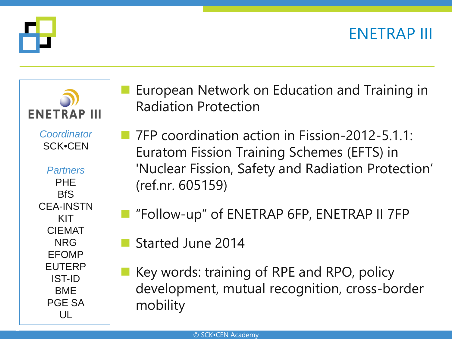### ENETRAP III



2



 European Network on Education and Training in Radiation Protection

- 7FP coordination action in Fission-2012-5.1.1: Euratom Fission Training Schemes (EFTS) in 'Nuclear Fission, Safety and Radiation Protection' (ref.nr. 605159)
- "Follow-up" of ENETRAP 6FP, ENETRAP II 7FP
- Started June 2014
- Key words: training of RPE and RPO, policy development, mutual recognition, cross-border mobility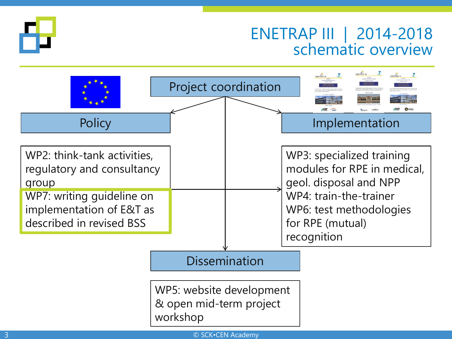

#### ENETRAP III | 2014-2018 schematic overview



© SCK•CEN Academy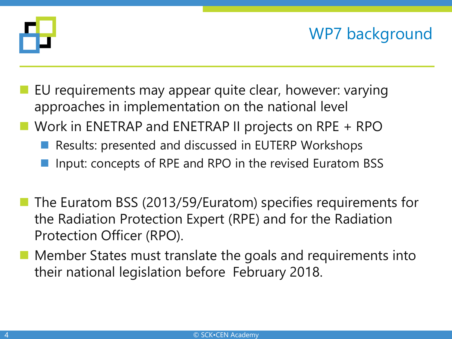

## WP7 background

- EU requirements may appear quite clear, however: varying approaches in implementation on the national level
- Work in ENETRAP and ENETRAP II projects on RPE + RPO
	- Results: presented and discussed in EUTERP Workshops
	- Input: concepts of RPE and RPO in the revised Euratom BSS
- The Euratom BSS (2013/59/Euratom) specifies requirements for the Radiation Protection Expert (RPE) and for the Radiation Protection Officer (RPO).
- Member States must translate the goals and requirements into their national legislation before February 2018.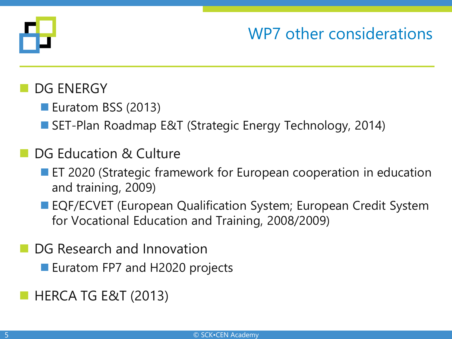

### WP7 other considerations

#### DG ENERGY

- Euratom BSS (2013)
- SET-Plan Roadmap E&T (Strategic Energy Technology, 2014)

#### DG Education & Culture

- **EXTED 2020 (Strategic framework for European cooperation in education** and training, 2009)
- EQF/ECVET (European Qualification System; European Credit System for Vocational Education and Training, 2008/2009)
- DG Research and Innovation
	- Euratom FP7 and H2020 projects
- HERCA TG E&T (2013)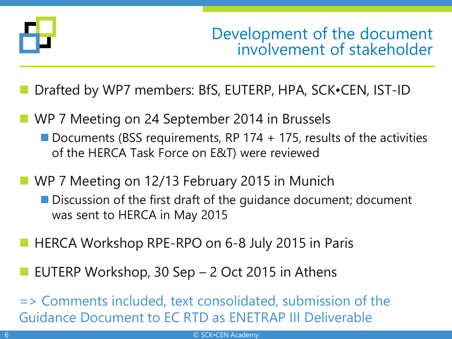

Development of the document involvement of stakeholder

Drafted by WP7 members: BfS, EUTERP, HPA, SCK•CEN, IST-ID

- WP 7 Meeting on 24 September 2014 in Brussels Documents (BSS requirements, RP 174  $+$  175, results of the activities of the HERCA Task Force on E&T) were reviewed
- WP 7 Meeting on 12/13 February 2015 in Munich ■ Discussion of the first draft of the guidance document; document was sent to HERCA in May 2015
- HERCA Workshop RPE-RPO on 6-8 July 2015 in Paris
- EUTERP Workshop, 30 Sep 2 Oct 2015 in Athens
- => Comments included, text consolidated, submission of the Guidance Document to EC RTD as ENETRAP III Deliverable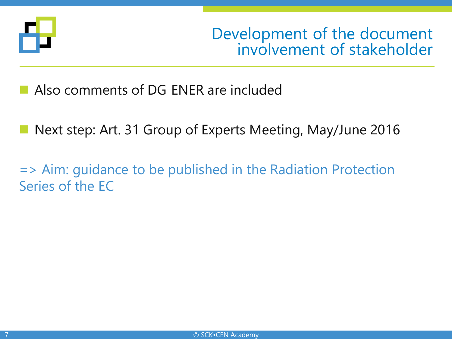

Development of the document involvement of stakeholder

- Also comments of DG ENER are included
- Next step: Art. 31 Group of Experts Meeting, May/June 2016
- => Aim: guidance to be published in the Radiation Protection Series of the EC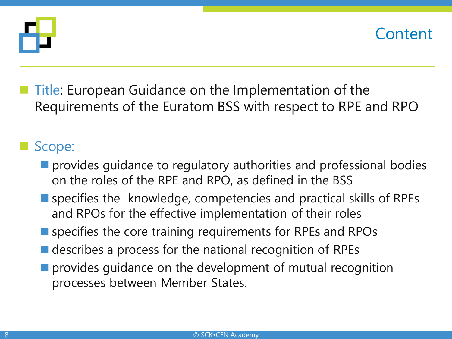



 Title: European Guidance on the Implementation of the Requirements of the Euratom BSS with respect to RPE and RPO

#### Scope:

- **Perovides guidance to regulatory authorities and professional bodies** on the roles of the RPE and RPO, as defined in the BSS
- specifies the knowledge, competencies and practical skills of RPEs and RPOs for the effective implementation of their roles
- **E** specifies the core training requirements for RPEs and RPOs
- $\blacksquare$  describes a process for the national recognition of RPEs
- **Perovides guidance on the development of mutual recognition** processes between Member States.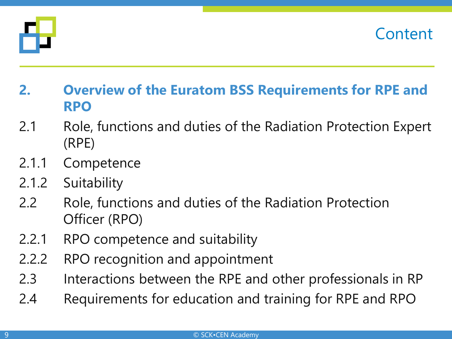



- **2. Overview of the Euratom BSS Requirements for RPE and RPO**
- 2.1 Role, functions and duties of the Radiation Protection Expert (RPE)
- 2.1.1 Competence
- 2.1.2 Suitability
- 2.2 Role, functions and duties of the Radiation Protection Officer (RPO)
- 2.2.1 RPO competence and suitability
- 2.2.2 RPO recognition and appointment
- 2.3 Interactions between the RPE and other professionals in RP
- 2.4 Requirements for education and training for RPE and RPO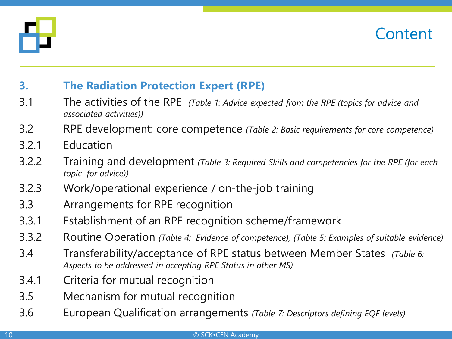



#### **3. The Radiation Protection Expert (RPE)**

- 3.1 The activities of the RPE *(Table 1: Advice expected from the RPE (topics for advice and associated activities))*
- 3.2 RPE development: core competence *(Table 2: Basic requirements for core competence)*
- 3.2.1 Education
- 3.2.2 Training and development *(Table 3: Required Skills and competencies for the RPE (for each topic for advice))*
- 3.2.3 Work/operational experience / on-the-job training
- 3.3 Arrangements for RPE recognition
- 3.3.1 Establishment of an RPE recognition scheme/framework
- 3.3.2 Routine Operation *(Table 4: Evidence of competence), (Table 5: Examples of suitable evidence)*
- 3.4 Transferability/acceptance of RPE status between Member States *(Table 6: Aspects to be addressed in accepting RPE Status in other MS)*
- 3.4.1 Criteria for mutual recognition
- 3.5 Mechanism for mutual recognition
- 3.6 European Qualification arrangements *(Table 7: Descriptors defining EQF levels)*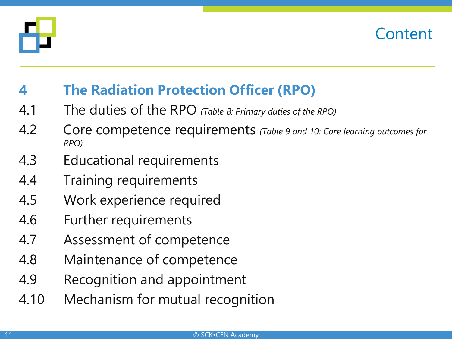



#### **4 The Radiation Protection Officer (RPO)**

- 4.1 The duties of the RPO *(Table 8: Primary duties of the RPO)*
- 4.2 Core competence requirements *(Table 9 and 10: Core learning outcomes for RPO)*
- 4.3 Educational requirements
- 4.4 Training requirements
- 4.5 Work experience required
- 4.6 Further requirements
- 4.7 Assessment of competence
- 4.8 Maintenance of competence
- 4.9 Recognition and appointment
- 4.10 Mechanism for mutual recognition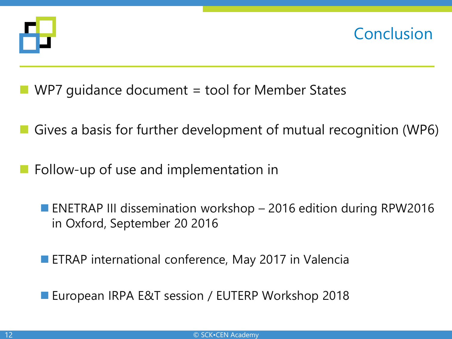

**Conclusion** 

- WP7 guidance document = tool for Member States
- Gives a basis for further development of mutual recognition (WP6)
- Follow-up of use and implementation in
	- ENETRAP III dissemination workshop 2016 edition during RPW2016 in Oxford, September 20 2016
	- **ETRAP international conference, May 2017 in Valencia**
	- European IRPA E&T session / EUTERP Workshop 2018